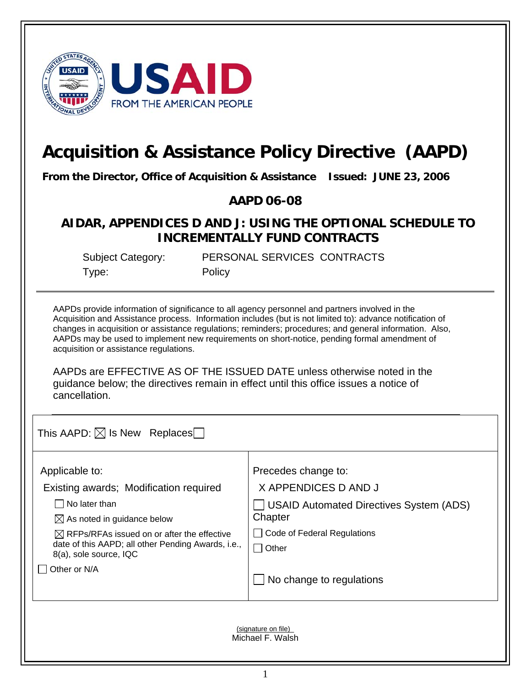

## **Acquisition & Assistance Policy Directive (AAPD)**

**From the Director, Office of Acquisition & Assistance Issued: JUNE 23, 2006** 

**AAPD 06-08** 

## **AIDAR, APPENDICES D AND J: USING THE OPTIONAL SCHEDULE TO INCREMENTALLY FUND CONTRACTS**

Type: Policy

Subject Category: PERSONAL SERVICES CONTRACTS

AAPDs provide information of significance to all agency personnel and partners involved in the Acquisition and Assistance process. Information includes (but is not limited to): advance notification of changes in acquisition or assistance regulations; reminders; procedures; and general information. Also, AAPDs may be used to implement new requirements on short-notice, pending formal amendment of acquisition or assistance regulations.

AAPDs are EFFECTIVE AS OF THE ISSUED DATE unless otherwise noted in the guidance below; the directives remain in effect until this office issues a notice of cancellation.

This AAPD:  $\boxtimes$  Is New Replaces

| Applicable to:                                                               | Precedes change to:                            |
|------------------------------------------------------------------------------|------------------------------------------------|
| Existing awards; Modification required                                       | X APPENDICES D AND J                           |
| No later than                                                                | <b>USAID Automated Directives System (ADS)</b> |
| $\boxtimes$ As noted in guidance below                                       | Chapter                                        |
| $\boxtimes$ RFPs/RFAs issued on or after the effective                       | Code of Federal Regulations                    |
| date of this AAPD; all other Pending Awards, i.e.,<br>8(a), sole source, IQC | l Other                                        |
| Other or N/A                                                                 |                                                |
|                                                                              | $\Box$ No change to regulations                |
|                                                                              |                                                |
|                                                                              |                                                |
|                                                                              |                                                |

(signature on file)\_ Michael F. Walsh